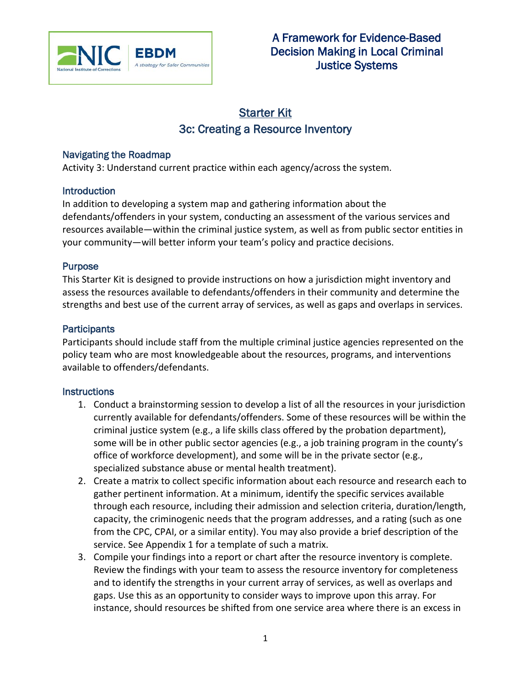

# **Starter Kit** 3c: Creating a Resource Inventory

#### Navigating the Roadmap

Activity 3: Understand current practice within each agency/across the system.

#### **Introduction**

In addition to developing a system map and gathering information about the defendants/offenders in your system, conducting an assessment of the various services and resources available—within the criminal justice system, as well as from public sector entities in your community—will better inform your team's policy and practice decisions.

## Purpose

This Starter Kit is designed to provide instructions on how a jurisdiction might inventory and assess the resources available to defendants/offenders in their community and determine the strengths and best use of the current array of services, as well as gaps and overlaps in services.

#### **Participants**

Participants should include staff from the multiple criminal justice agencies represented on the policy team who are most knowledgeable about the resources, programs, and interventions available to offenders/defendants.

## **Instructions**

- 1. Conduct a brainstorming session to develop a list of all the resources in your jurisdiction currently available for defendants/offenders. Some of these resources will be within the criminal justice system (e.g., a life skills class offered by the probation department), some will be in other public sector agencies (e.g., a job training program in the county's office of workforce development), and some will be in the private sector (e.g., specialized substance abuse or mental health treatment).
- 2. Create a matrix to collect specific information about each resource and research each to gather pertinent information. At a minimum, identify the specific services available through each resource, including their admission and selection criteria, duration/length, capacity, the criminogenic needs that the program addresses, and a rating (such as one from the CPC, CPAI, or a similar entity). You may also provide a brief description of the service. See Appendix 1 for a template of such a matrix.
- <span id="page-0-0"></span>3. Compile your findings into a report or chart after the resource inventory is complete. Review the findings with your team to assess the resource inventory for completeness and to identify the strengths in your current array of services, as well as overlaps and gaps. Use this as an opportunity to consider ways to improve upon this array. For instance, should resources be shifted from one service area where there is an excess in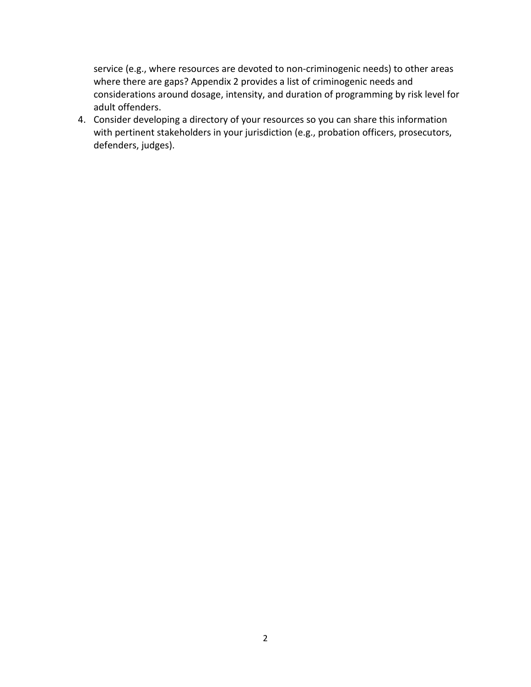service (e.g., where resources are devoted to non-criminogenic needs) to other areas where there are gaps? Appendix 2 provides a list of criminogenic needs and considerations around dosage, intensity, and duration of programming by risk level for adult offenders.

4. Consider developing a directory of your resources so you can share this information with pertinent stakeholders in your jurisdiction (e.g., probation officers, prosecutors, defenders, judges).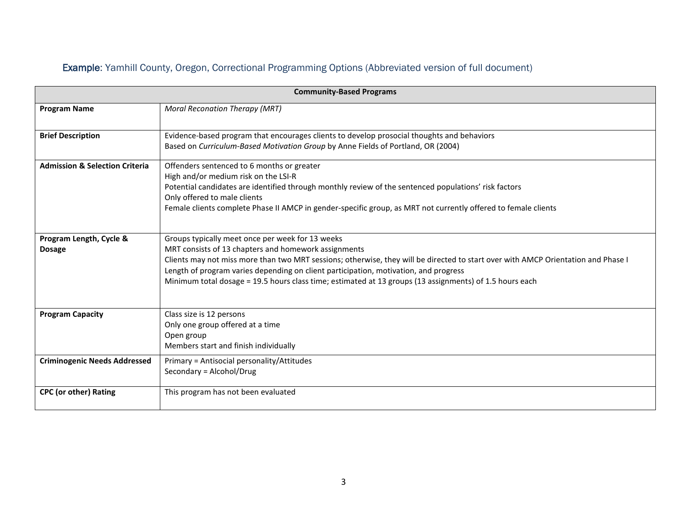# Example: Yamhill County, Oregon, Correctional Programming Options (Abbreviated version of full document)

| <b>Community-Based Programs</b>           |                                                                                                                                                                                                                                                                                                                                                                                                                                                  |  |  |  |
|-------------------------------------------|--------------------------------------------------------------------------------------------------------------------------------------------------------------------------------------------------------------------------------------------------------------------------------------------------------------------------------------------------------------------------------------------------------------------------------------------------|--|--|--|
| <b>Program Name</b>                       | <b>Moral Reconation Therapy (MRT)</b>                                                                                                                                                                                                                                                                                                                                                                                                            |  |  |  |
| <b>Brief Description</b>                  | Evidence-based program that encourages clients to develop prosocial thoughts and behaviors<br>Based on Curriculum-Based Motivation Group by Anne Fields of Portland, OR (2004)                                                                                                                                                                                                                                                                   |  |  |  |
| <b>Admission &amp; Selection Criteria</b> | Offenders sentenced to 6 months or greater<br>High and/or medium risk on the LSI-R<br>Potential candidates are identified through monthly review of the sentenced populations' risk factors<br>Only offered to male clients<br>Female clients complete Phase II AMCP in gender-specific group, as MRT not currently offered to female clients                                                                                                    |  |  |  |
| Program Length, Cycle &<br><b>Dosage</b>  | Groups typically meet once per week for 13 weeks<br>MRT consists of 13 chapters and homework assignments<br>Clients may not miss more than two MRT sessions; otherwise, they will be directed to start over with AMCP Orientation and Phase I<br>Length of program varies depending on client participation, motivation, and progress<br>Minimum total dosage = 19.5 hours class time; estimated at 13 groups (13 assignments) of 1.5 hours each |  |  |  |
| <b>Program Capacity</b>                   | Class size is 12 persons<br>Only one group offered at a time<br>Open group<br>Members start and finish individually                                                                                                                                                                                                                                                                                                                              |  |  |  |
| <b>Criminogenic Needs Addressed</b>       | Primary = Antisocial personality/Attitudes<br>Secondary = Alcohol/Drug                                                                                                                                                                                                                                                                                                                                                                           |  |  |  |
| <b>CPC (or other) Rating</b>              | This program has not been evaluated                                                                                                                                                                                                                                                                                                                                                                                                              |  |  |  |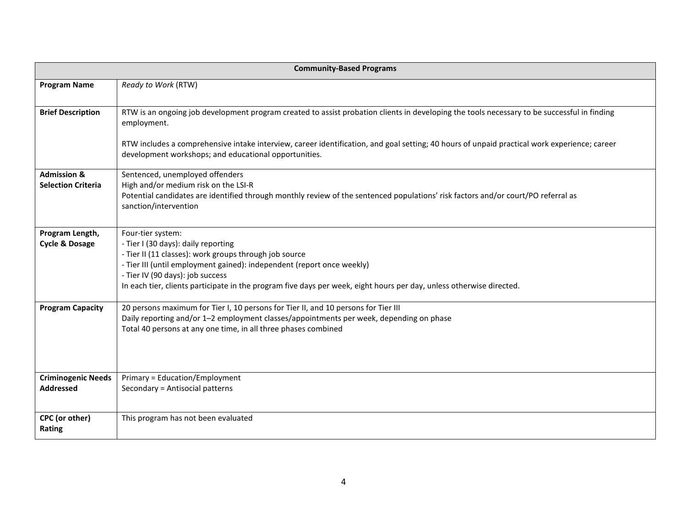| <b>Community-Based Programs</b> |                                                                                                                                                                                                       |  |  |
|---------------------------------|-------------------------------------------------------------------------------------------------------------------------------------------------------------------------------------------------------|--|--|
| <b>Program Name</b>             | Ready to Work (RTW)                                                                                                                                                                                   |  |  |
| <b>Brief Description</b>        | RTW is an ongoing job development program created to assist probation clients in developing the tools necessary to be successful in finding<br>employment.                                            |  |  |
|                                 | RTW includes a comprehensive intake interview, career identification, and goal setting; 40 hours of unpaid practical work experience; career<br>development workshops; and educational opportunities. |  |  |
| <b>Admission &amp;</b>          | Sentenced, unemployed offenders                                                                                                                                                                       |  |  |
| <b>Selection Criteria</b>       | High and/or medium risk on the LSI-R<br>Potential candidates are identified through monthly review of the sentenced populations' risk factors and/or court/PO referral as<br>sanction/intervention    |  |  |
| Program Length,                 | Four-tier system:                                                                                                                                                                                     |  |  |
| <b>Cycle &amp; Dosage</b>       | - Tier I (30 days): daily reporting                                                                                                                                                                   |  |  |
|                                 | - Tier II (11 classes): work groups through job source<br>- Tier III (until employment gained): independent (report once weekly)                                                                      |  |  |
|                                 | - Tier IV (90 days): job success                                                                                                                                                                      |  |  |
|                                 | In each tier, clients participate in the program five days per week, eight hours per day, unless otherwise directed.                                                                                  |  |  |
| <b>Program Capacity</b>         | 20 persons maximum for Tier I, 10 persons for Tier II, and 10 persons for Tier III                                                                                                                    |  |  |
|                                 | Daily reporting and/or 1-2 employment classes/appointments per week, depending on phase<br>Total 40 persons at any one time, in all three phases combined                                             |  |  |
|                                 |                                                                                                                                                                                                       |  |  |
| <b>Criminogenic Needs</b>       | Primary = Education/Employment                                                                                                                                                                        |  |  |
| <b>Addressed</b>                | Secondary = Antisocial patterns                                                                                                                                                                       |  |  |
| CPC (or other)<br>Rating        | This program has not been evaluated                                                                                                                                                                   |  |  |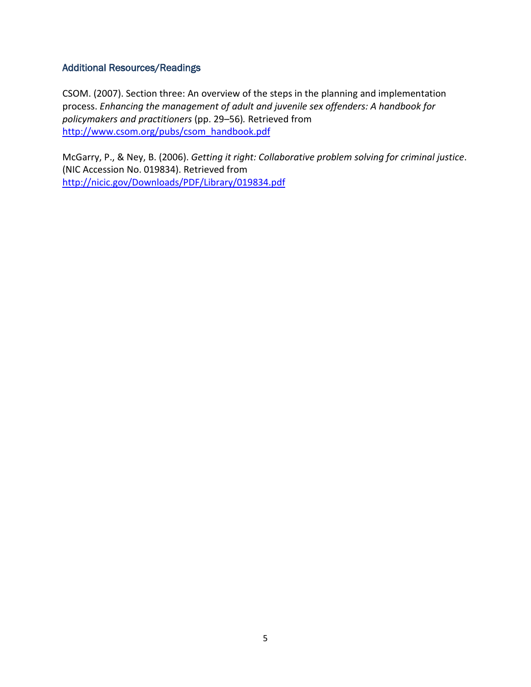## Additional Resources/Readings

CSOM. (2007). Section three: An overview of the steps in the planning and implementation process. *Enhancing the management of adult and juvenile sex offenders: A handbook for policymakers and practitioners* (pp. 29–56)*.* Retrieved from [http://www.csom.org/pubs/csom\\_handbook.pdf](http://www.csom.org/pubs/csom_handbook.pdf)

McGarry, P., & Ney, B. (2006). *Getting it right: Collaborative problem solving for criminal justice*. (NIC Accession No. 019834). Retrieved from <http://nicic.gov/Downloads/PDF/Library/019834.pdf>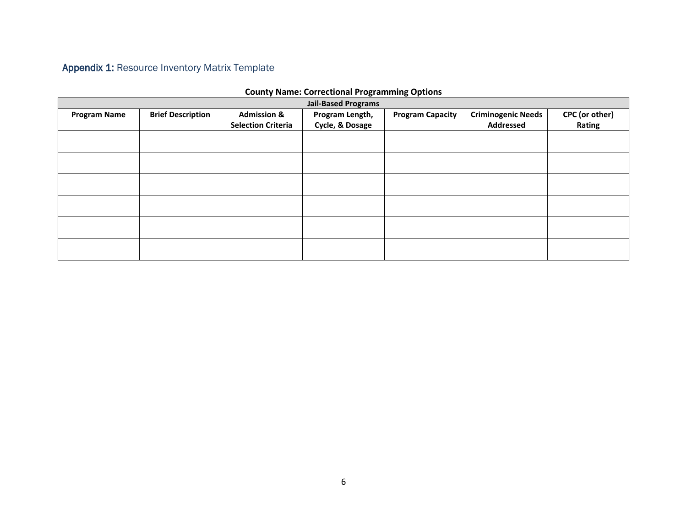# Appendix 1: Resource Inventory Matrix Template

| <b>Jail-Based Programs</b> |                          |                                                     |                                    |                         |                                               |                          |
|----------------------------|--------------------------|-----------------------------------------------------|------------------------------------|-------------------------|-----------------------------------------------|--------------------------|
| <b>Program Name</b>        | <b>Brief Description</b> | <b>Admission &amp;</b><br><b>Selection Criteria</b> | Program Length,<br>Cycle, & Dosage | <b>Program Capacity</b> | <b>Criminogenic Needs</b><br><b>Addressed</b> | CPC (or other)<br>Rating |
|                            |                          |                                                     |                                    |                         |                                               |                          |
|                            |                          |                                                     |                                    |                         |                                               |                          |
|                            |                          |                                                     |                                    |                         |                                               |                          |
|                            |                          |                                                     |                                    |                         |                                               |                          |
|                            |                          |                                                     |                                    |                         |                                               |                          |
|                            |                          |                                                     |                                    |                         |                                               |                          |

#### **County Name: Correctional Programming Options**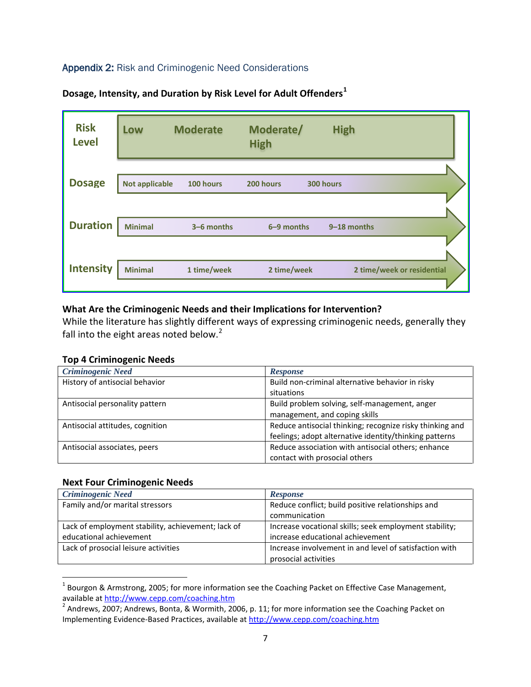## Appendix 2: Risk and Criminogenic Need Considerations



**Dosage, Intensity, and Duration by Risk Level for Adult Offenders[1](#page-0-0)**

#### **What Are the Criminogenic Needs and their Implications for Intervention?**

While the literature has slightly different ways of expressing criminogenic needs, generally they fall into the eight areas noted below. $2$ 

#### **Top 4 Criminogenic Needs**

| <b>Criminogenic Need</b>        | <b>Response</b>                                          |
|---------------------------------|----------------------------------------------------------|
| History of antisocial behavior  | Build non-criminal alternative behavior in risky         |
|                                 | situations                                               |
| Antisocial personality pattern  | Build problem solving, self-management, anger            |
|                                 | management, and coping skills                            |
| Antisocial attitudes, cognition | Reduce antisocial thinking; recognize risky thinking and |
|                                 | feelings; adopt alternative identity/thinking patterns   |
| Antisocial associates, peers    | Reduce association with antisocial others; enhance       |
|                                 | contact with prosocial others                            |

#### **Next Four Criminogenic Needs**

 $\overline{\phantom{a}}$ 

| <b>Criminogenic Need</b>                           | <b>Response</b>                                        |  |
|----------------------------------------------------|--------------------------------------------------------|--|
| Family and/or marital stressors                    | Reduce conflict; build positive relationships and      |  |
|                                                    | communication                                          |  |
| Lack of employment stability, achievement; lack of | Increase vocational skills; seek employment stability; |  |
| educational achievement                            | increase educational achievement                       |  |
| Lack of prosocial leisure activities               | Increase involvement in and level of satisfaction with |  |
|                                                    | prosocial activities                                   |  |

 $1$  Bourgon & Armstrong, 2005; for more information see the Coaching Packet on Effective Case Management, available at http://www.cepp.com/coaching.htm<br><sup>2</sup> Andrews, 2007; Andrews, Bonta, & Wormith, 2006, p. 11; for more information see the Coaching Packet on

<span id="page-6-0"></span>Implementing Evidence-Based Practices, available at<http://www.cepp.com/coaching.htm>